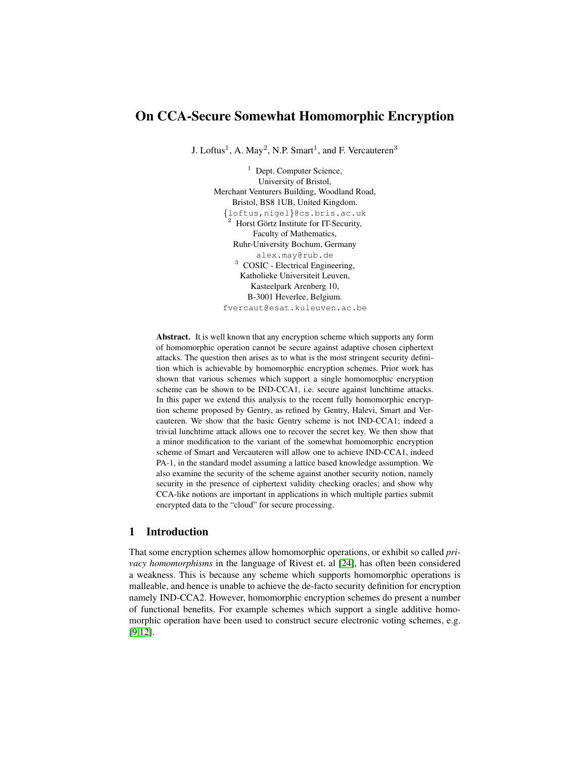# On CCA-Secure Somewhat Homomorphic Encryption

J. Loftus<sup>1</sup>, A. May<sup>2</sup>, N.P. Smart<sup>1</sup>, and F. Vercauteren<sup>3</sup>

 $<sup>1</sup>$  Dept. Computer Science,</sup> University of Bristol, Merchant Venturers Building, Woodland Road, Bristol, BS8 1UB, United Kingdom. {loftus,nigel}@cs.bris.ac.uk Horst Görtz Institute for IT-Security, Faculty of Mathematics, Ruhr-University Bochum, Germany alex.may@rub.de <sup>3</sup> COSIC - Electrical Engineering, Katholieke Universiteit Leuven, Kasteelpark Arenberg 10, B-3001 Heverlee, Belgium. fvercaut@esat.kuleuven.ac.be

Abstract. It is well known that any encryption scheme which supports any form of homomorphic operation cannot be secure against adaptive chosen ciphertext attacks. The question then arises as to what is the most stringent security definition which is achievable by homomorphic encryption schemes. Prior work has shown that various schemes which support a single homomorphic encryption scheme can be shown to be IND-CCA1, i.e. secure against lunchtime attacks. In this paper we extend this analysis to the recent fully homomorphic encryption scheme proposed by Gentry, as refined by Gentry, Halevi, Smart and Vercauteren. We show that the basic Gentry scheme is not IND-CCA1; indeed a trivial lunchtime attack allows one to recover the secret key. We then show that a minor modification to the variant of the somewhat homomorphic encryption scheme of Smart and Vercauteren will allow one to achieve IND-CCA1, indeed PA-1, in the standard model assuming a lattice based knowledge assumption. We also examine the security of the scheme against another security notion, namely security in the presence of ciphertext validity checking oracles; and show why CCA-like notions are important in applications in which multiple parties submit encrypted data to the "cloud" for secure processing.

# 1 Introduction

That some encryption schemes allow homomorphic operations, or exhibit so called *privacy homomorphisms* in the language of Rivest et. al [\[24\]](#page-17-0), has often been considered a weakness. This is because any scheme which supports homomorphic operations is malleable, and hence is unable to achieve the de-facto security definition for encryption namely IND-CCA2. However, homomorphic encryption schemes do present a number of functional benefits. For example schemes which support a single additive homomorphic operation have been used to construct secure electronic voting schemes, e.g. [\[9,](#page-17-1)[12\]](#page-17-2).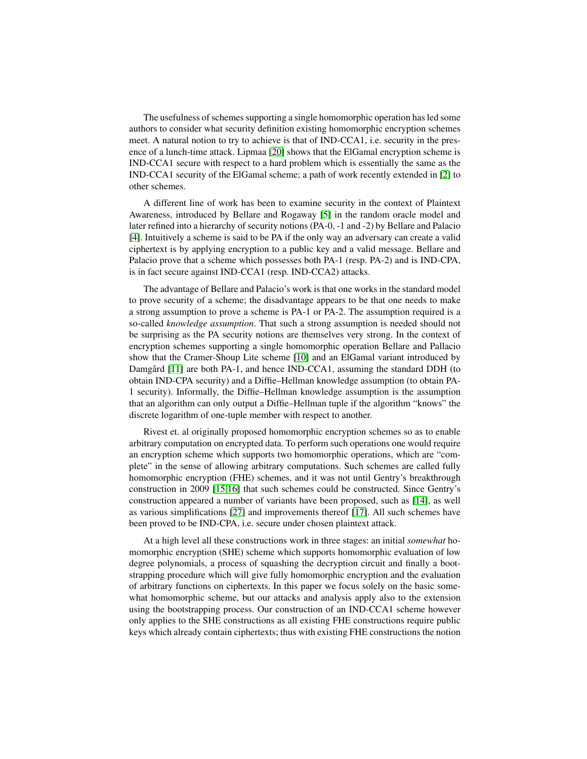The usefulness of schemes supporting a single homomorphic operation has led some authors to consider what security definition existing homomorphic encryption schemes meet. A natural notion to try to achieve is that of IND-CCA1, i.e. security in the presence of a lunch-time attack. Lipmaa [\[20\]](#page-17-3) shows that the ElGamal encryption scheme is IND-CCA1 secure with respect to a hard problem which is essentially the same as the IND-CCA1 security of the ElGamal scheme; a path of work recently extended in [\[2\]](#page-16-0) to other schemes.

A different line of work has been to examine security in the context of Plaintext Awareness, introduced by Bellare and Rogaway [\[5\]](#page-16-1) in the random oracle model and later refined into a hierarchy of security notions (PA-0, -1 and -2) by Bellare and Palacio [\[4\]](#page-16-2). Intuitively a scheme is said to be PA if the only way an adversary can create a valid ciphertext is by applying encryption to a public key and a valid message. Bellare and Palacio prove that a scheme which possesses both PA-1 (resp. PA-2) and is IND-CPA, is in fact secure against IND-CCA1 (resp. IND-CCA2) attacks.

The advantage of Bellare and Palacio's work is that one works in the standard model to prove security of a scheme; the disadvantage appears to be that one needs to make a strong assumption to prove a scheme is PA-1 or PA-2. The assumption required is a so-called *knowledge assumption*. That such a strong assumption is needed should not be surprising as the PA security notions are themselves very strong. In the context of encryption schemes supporting a single homomorphic operation Bellare and Pallacio show that the Cramer-Shoup Lite scheme [\[10\]](#page-17-4) and an ElGamal variant introduced by Damgård  $[11]$  are both PA-1, and hence IND-CCA1, assuming the standard DDH (to obtain IND-CPA security) and a Diffie–Hellman knowledge assumption (to obtain PA-1 security). Informally, the Diffie–Hellman knowledge assumption is the assumption that an algorithm can only output a Diffie–Hellman tuple if the algorithm "knows" the discrete logarithm of one-tuple member with respect to another.

Rivest et. al originally proposed homomorphic encryption schemes so as to enable arbitrary computation on encrypted data. To perform such operations one would require an encryption scheme which supports two homomorphic operations, which are "complete" in the sense of allowing arbitrary computations. Such schemes are called fully homomorphic encryption (FHE) schemes, and it was not until Gentry's breakthrough construction in 2009 [\[15](#page-17-6)[,16\]](#page-17-7) that such schemes could be constructed. Since Gentry's construction appeared a number of variants have been proposed, such as [\[14\]](#page-17-8), as well as various simplifications [\[27\]](#page-17-9) and improvements thereof [\[17\]](#page-17-10). All such schemes have been proved to be IND-CPA, i.e. secure under chosen plaintext attack.

At a high level all these constructions work in three stages: an initial *somewhat* homomorphic encryption (SHE) scheme which supports homomorphic evaluation of low degree polynomials, a process of squashing the decryption circuit and finally a bootstrapping procedure which will give fully homomorphic encryption and the evaluation of arbitrary functions on ciphertexts. In this paper we focus solely on the basic somewhat homomorphic scheme, but our attacks and analysis apply also to the extension using the bootstrapping process. Our construction of an IND-CCA1 scheme however only applies to the SHE constructions as all existing FHE constructions require public keys which already contain ciphertexts; thus with existing FHE constructions the notion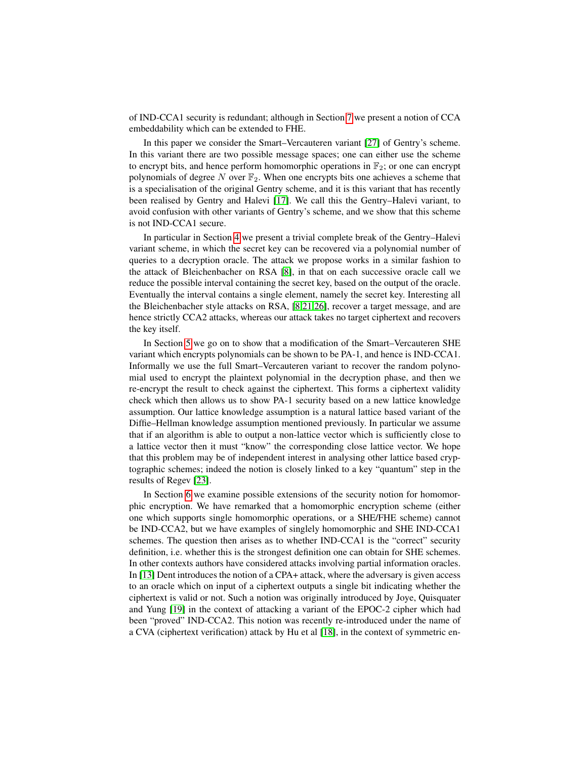of IND-CCA1 security is redundant; although in Section [7](#page-14-0) we present a notion of CCA embeddability which can be extended to FHE.

In this paper we consider the Smart–Vercauteren variant [\[27\]](#page-17-9) of Gentry's scheme. In this variant there are two possible message spaces; one can either use the scheme to encrypt bits, and hence perform homomorphic operations in  $\mathbb{F}_2$ ; or one can encrypt polynomials of degree N over  $\mathbb{F}_2$ . When one encrypts bits one achieves a scheme that is a specialisation of the original Gentry scheme, and it is this variant that has recently been realised by Gentry and Halevi [\[17\]](#page-17-10). We call this the Gentry–Halevi variant, to avoid confusion with other variants of Gentry's scheme, and we show that this scheme is not IND-CCA1 secure.

In particular in Section [4](#page-7-0) we present a trivial complete break of the Gentry–Halevi variant scheme, in which the secret key can be recovered via a polynomial number of queries to a decryption oracle. The attack we propose works in a similar fashion to the attack of Bleichenbacher on RSA [\[8\]](#page-16-3), in that on each successive oracle call we reduce the possible interval containing the secret key, based on the output of the oracle. Eventually the interval contains a single element, namely the secret key. Interesting all the Bleichenbacher style attacks on RSA, [\[8,](#page-16-3)[21,](#page-17-11)[26\]](#page-17-12), recover a target message, and are hence strictly CCA2 attacks, whereas our attack takes no target ciphertext and recovers the key itself.

In Section [5](#page-8-0) we go on to show that a modification of the Smart–Vercauteren SHE variant which encrypts polynomials can be shown to be PA-1, and hence is IND-CCA1. Informally we use the full Smart–Vercauteren variant to recover the random polynomial used to encrypt the plaintext polynomial in the decryption phase, and then we re-encrypt the result to check against the ciphertext. This forms a ciphertext validity check which then allows us to show PA-1 security based on a new lattice knowledge assumption. Our lattice knowledge assumption is a natural lattice based variant of the Diffie–Hellman knowledge assumption mentioned previously. In particular we assume that if an algorithm is able to output a non-lattice vector which is sufficiently close to a lattice vector then it must "know" the corresponding close lattice vector. We hope that this problem may be of independent interest in analysing other lattice based cryptographic schemes; indeed the notion is closely linked to a key "quantum" step in the results of Regev [\[23\]](#page-17-13).

In Section [6](#page-13-0) we examine possible extensions of the security notion for homomorphic encryption. We have remarked that a homomorphic encryption scheme (either one which supports single homomorphic operations, or a SHE/FHE scheme) cannot be IND-CCA2, but we have examples of singlely homomorphic and SHE IND-CCA1 schemes. The question then arises as to whether IND-CCA1 is the "correct" security definition, i.e. whether this is the strongest definition one can obtain for SHE schemes. In other contexts authors have considered attacks involving partial information oracles. In [\[13\]](#page-17-14) Dent introduces the notion of a CPA+ attack, where the adversary is given access to an oracle which on input of a ciphertext outputs a single bit indicating whether the ciphertext is valid or not. Such a notion was originally introduced by Joye, Quisquater and Yung [\[19\]](#page-17-15) in the context of attacking a variant of the EPOC-2 cipher which had been "proved" IND-CCA2. This notion was recently re-introduced under the name of a CVA (ciphertext verification) attack by Hu et al [\[18\]](#page-17-16), in the context of symmetric en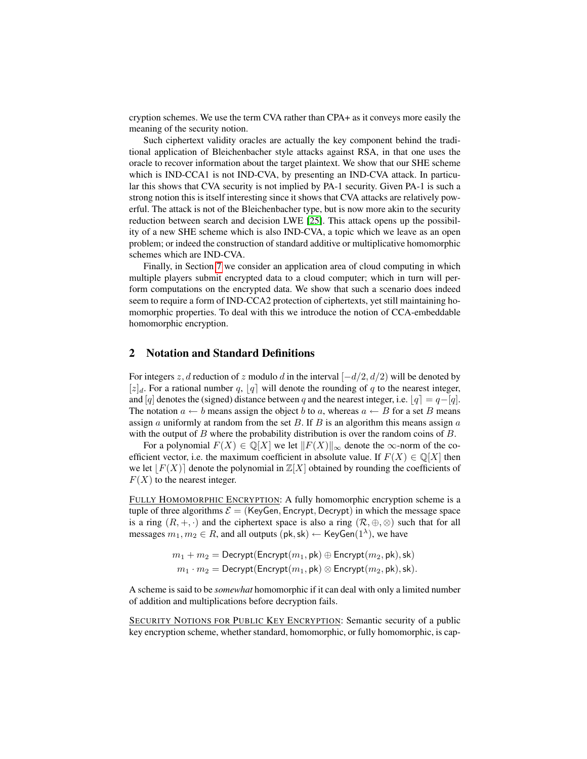cryption schemes. We use the term CVA rather than CPA+ as it conveys more easily the meaning of the security notion.

Such ciphertext validity oracles are actually the key component behind the traditional application of Bleichenbacher style attacks against RSA, in that one uses the oracle to recover information about the target plaintext. We show that our SHE scheme which is IND-CCA1 is not IND-CVA, by presenting an IND-CVA attack. In particular this shows that CVA security is not implied by PA-1 security. Given PA-1 is such a strong notion this is itself interesting since it shows that CVA attacks are relatively powerful. The attack is not of the Bleichenbacher type, but is now more akin to the security reduction between search and decision LWE [\[25\]](#page-17-17). This attack opens up the possibility of a new SHE scheme which is also IND-CVA, a topic which we leave as an open problem; or indeed the construction of standard additive or multiplicative homomorphic schemes which are IND-CVA.

Finally, in Section [7](#page-14-0) we consider an application area of cloud computing in which multiple players submit encrypted data to a cloud computer; which in turn will perform computations on the encrypted data. We show that such a scenario does indeed seem to require a form of IND-CCA2 protection of ciphertexts, yet still maintaining homomorphic properties. To deal with this we introduce the notion of CCA-embeddable homomorphic encryption.

### 2 Notation and Standard Definitions

For integers z, d reduction of z modulo d in the interval  $[-d/2, d/2)$  will be denoted by  $[z]_d$ . For a rational number q, |q| will denote the rounding of q to the nearest integer, and [q] denotes the (signed) distance between q and the nearest integer, i.e.  $|q| = q-[q]$ . The notation  $a \leftarrow b$  means assign the object b to a, whereas  $a \leftarrow B$  for a set B means assign  $\alpha$  uniformly at random from the set  $B$ . If  $B$  is an algorithm this means assign  $\alpha$ with the output of  $B$  where the probability distribution is over the random coins of  $B$ .

For a polynomial  $F(X) \in \mathbb{Q}[X]$  we let  $||F(X)||_{\infty}$  denote the  $\infty$ -norm of the coefficient vector, i.e. the maximum coefficient in absolute value. If  $F(X) \in \mathbb{Q}[X]$  then we let  $\vert F(X) \vert$  denote the polynomial in  $\mathbb{Z}[X]$  obtained by rounding the coefficients of  $F(X)$  to the nearest integer.

FULLY HOMOMORPHIC ENCRYPTION: A fully homomorphic encryption scheme is a tuple of three algorithms  $\mathcal{E} =$  (KeyGen, Encrypt, Decrypt) in which the message space is a ring  $(R, +, \cdot)$  and the ciphertext space is also a ring  $(\mathcal{R}, \oplus, \otimes)$  such that for all messages  $m_1, m_2 \in R$ , and all outputs  $(\mathsf{pk}, \mathsf{sk}) \leftarrow \mathsf{KeyGen}(1^\lambda)$ , we have

> $m_1 + m_2 = \text{Decrypt}(\text{Encrypt}(m_1, \text{pk}) \oplus \text{Encrypt}(m_2, \text{pk}), \text{sk})$  $m_1 \cdot m_2 = \text{Decrypt}(\text{Encrypt}(m_1, \text{pk}) \otimes \text{Encrypt}(m_2, \text{pk}), \text{sk}).$

A scheme is said to be *somewhat* homomorphic if it can deal with only a limited number of addition and multiplications before decryption fails.

SECURITY NOTIONS FOR PUBLIC KEY ENCRYPTION: Semantic security of a public key encryption scheme, whether standard, homomorphic, or fully homomorphic, is cap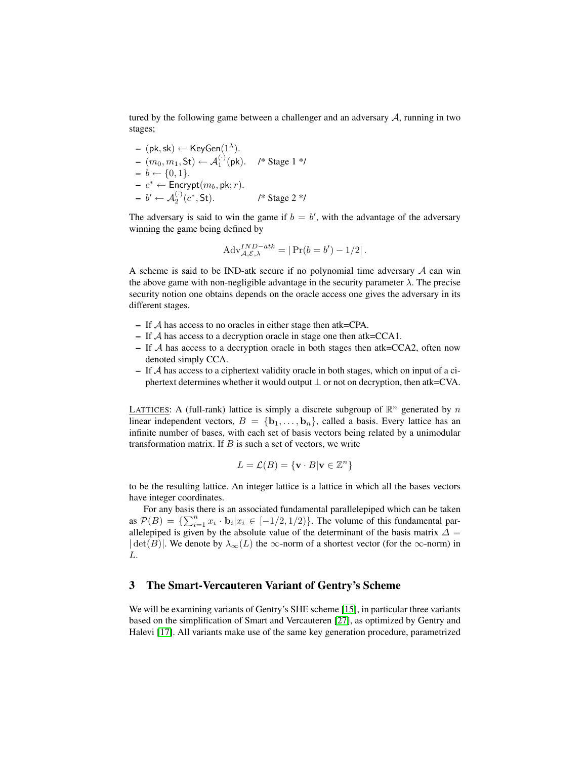tured by the following game between a challenger and an adversary A, running in two stages;

- (pk, sk) 
$$
\leftarrow
$$
 KeyGen(1<sup>λ</sup>).  
\n-  $(m_0, m_1, St) \leftarrow A_1^{(.)}(pk)$ . */*\* Stage 1 \*/  
\n-  $b \leftarrow \{0, 1\}$ .  
\n-  $c^* \leftarrow$  Encryption( $m_b$ , pk; r).  
\n-  $b' \leftarrow A_2^{(.)}(c^*, St)$ . */*\* Stage 2 \*/

The adversary is said to win the game if  $b = b'$ , with the advantage of the adversary winning the game being defined by

$$
Adv_{\mathcal{A}, \mathcal{E}, \lambda}^{IND-atk} = | \Pr(b = b') - 1/2 |.
$$

A scheme is said to be IND-atk secure if no polynomial time adversary  $A$  can win the above game with non-negligible advantage in the security parameter  $\lambda$ . The precise security notion one obtains depends on the oracle access one gives the adversary in its different stages.

- If A has access to no oracles in either stage then atk=CPA.
- If  $A$  has access to a decryption oracle in stage one then atk=CCA1.
- $-$  If  $A$  has access to a decryption oracle in both stages then atk=CCA2, often now denoted simply CCA.
- $-$  If A has access to a ciphertext validity oracle in both stages, which on input of a ciphertext determines whether it would output ⊥ or not on decryption, then atk=CVA.

**LATTICES:** A (full-rank) lattice is simply a discrete subgroup of  $\mathbb{R}^n$  generated by n linear independent vectors,  $B = \{b_1, \ldots, b_n\}$ , called a basis. Every lattice has an infinite number of bases, with each set of basis vectors being related by a unimodular transformation matrix. If  $B$  is such a set of vectors, we write

$$
L = \mathcal{L}(B) = \{ \mathbf{v} \cdot B | \mathbf{v} \in \mathbb{Z}^n \}
$$

to be the resulting lattice. An integer lattice is a lattice in which all the bases vectors have integer coordinates.

For any basis there is an associated fundamental parallelepiped which can be taken as  $\mathcal{P}(B) = \{\sum_{i=1}^n x_i \cdot \mathbf{b}_i | x_i \in [-1/2, 1/2)\}\.$  The volume of this fundamental parallelepiped is given by the absolute value of the determinant of the basis matrix  $\Delta$  =  $|\det(B)|$ . We denote by  $\lambda_{\infty}(L)$  the  $\infty$ -norm of a shortest vector (for the  $\infty$ -norm) in L.

### 3 The Smart-Vercauteren Variant of Gentry's Scheme

We will be examining variants of Gentry's SHE scheme [\[15\]](#page-17-6), in particular three variants based on the simplification of Smart and Vercauteren [\[27\]](#page-17-9), as optimized by Gentry and Halevi [\[17\]](#page-17-10). All variants make use of the same key generation procedure, parametrized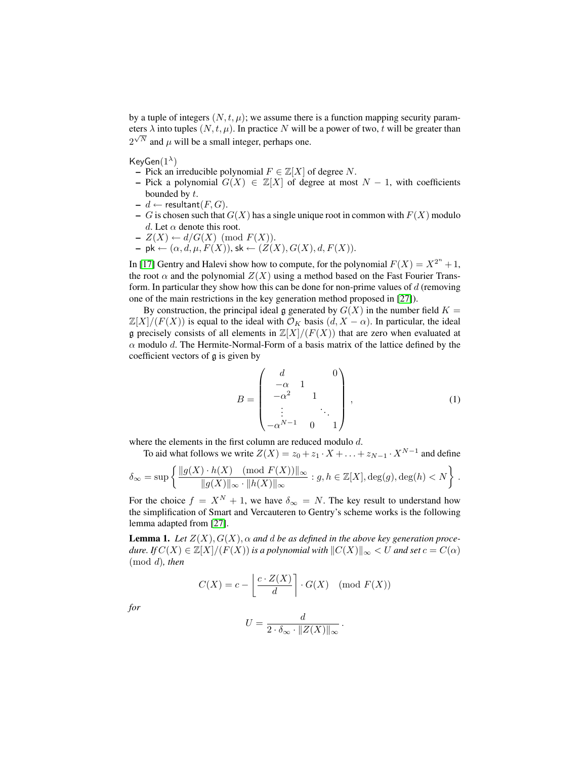by a tuple of integers  $(N, t, \mu)$ ; we assume there is a function mapping security parameters  $\lambda$  into tuples  $(N, t, \mu)$ . In practice N will be a power of two, t will be greater than  $2^{\sqrt{N}}$  and  $\mu$  will be a small integer, perhaps one.

 $\mathsf{KeyGen}(1^\lambda)$ 

- Pick an irreducible polynomial  $F \in \mathbb{Z}[X]$  of degree N.
- Pick a polynomial  $G(X) \in \mathbb{Z}[X]$  of degree at most  $N-1$ , with coefficients bounded by t.
- $-d \leftarrow$  resultant $(F, G)$ .
- G is chosen such that  $G(X)$  has a single unique root in common with  $F(X)$  modulo d. Let  $\alpha$  denote this root.
- $-Z(X) \leftarrow d/G(X) \pmod{F(X)}$ .
- $-$  pk  $\leftarrow (\alpha, d, \mu, F(X)),$  sk  $\leftarrow (Z(X), G(X), d, F(X)).$

In [\[17\]](#page-17-10) Gentry and Halevi show how to compute, for the polynomial  $F(X) = X^{2^n} + 1$ , the root  $\alpha$  and the polynomial  $Z(X)$  using a method based on the Fast Fourier Transform. In particular they show how this can be done for non-prime values of d (removing one of the main restrictions in the key generation method proposed in [\[27\]](#page-17-9)).

By construction, the principal ideal g generated by  $G(X)$  in the number field  $K =$  $\mathbb{Z}[X]/(F(X))$  is equal to the ideal with  $\mathcal{O}_K$  basis  $(d, X - \alpha)$ . In particular, the ideal g precisely consists of all elements in  $\mathbb{Z}[X]/(F(X))$  that are zero when evaluated at  $\alpha$  modulo d. The Hermite-Normal-Form of a basis matrix of the lattice defined by the coefficient vectors of g is given by

<span id="page-5-0"></span>
$$
B = \begin{pmatrix} d & 0 \\ -\alpha & 1 \\ -\alpha^2 & 1 \\ \vdots & \ddots \\ -\alpha^{N-1} & 0 & 1 \end{pmatrix},
$$
 (1)

where the elements in the first column are reduced modulo d.

To aid what follows we write  $Z(X) = z_0 + z_1 \cdot X + \ldots + z_{N-1} \cdot X^{N-1}$  and define

$$
\delta_{\infty} = \sup \left\{ \frac{\|g(X) \cdot h(X) \pmod{F(X)\}}{\|g(X)\|_{\infty} \cdot \|h(X)\|_{\infty}} : g, h \in \mathbb{Z}[X], \deg(g), \deg(h) < N \right\}.
$$

For the choice  $f = X^N + 1$ , we have  $\delta_{\infty} = N$ . The key result to understand how the simplification of Smart and Vercauteren to Gentry's scheme works is the following lemma adapted from [\[27\]](#page-17-9).

**Lemma 1.** Let  $Z(X)$ ,  $G(X)$ ,  $\alpha$  and d be as defined in the above key generation proce*dure. If*  $C(X) \in \mathbb{Z}[X]/(F(X))$  *is a polynomial with*  $||C(X)||_{\infty} < U$  *and set*  $c = C(\alpha)$ (mod d)*, then*

<span id="page-5-1"></span>
$$
C(X) = c - \left\lfloor \frac{c \cdot Z(X)}{d} \right\rfloor \cdot G(X) \pmod{F(X)}
$$

*for*

$$
U = \frac{d}{2 \cdot \delta_{\infty} \cdot ||Z(X)||_{\infty}}.
$$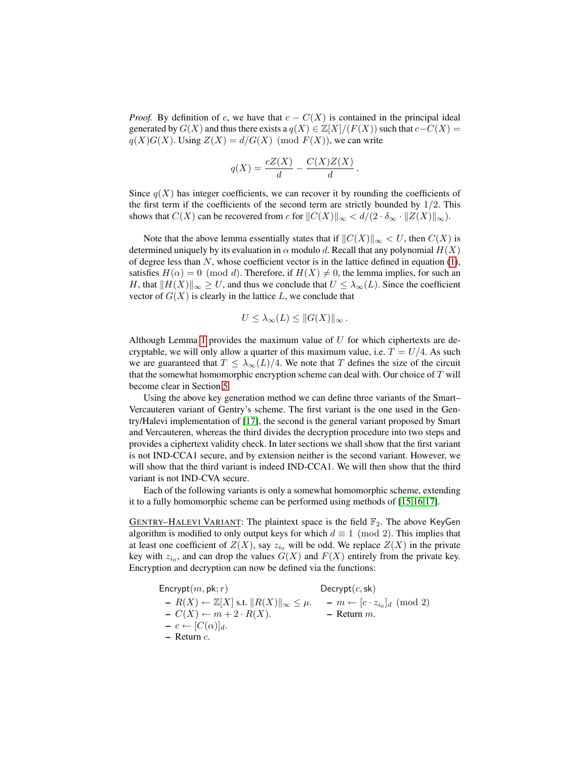*Proof.* By definition of c, we have that  $c - C(X)$  is contained in the principal ideal generated by  $G(X)$  and thus there exists a  $q(X) \in \mathbb{Z}[X]/(F(X))$  such that  $c-C(X)$  $q(X)G(X)$ . Using  $Z(X) = d/G(X) \pmod{F(X)}$ , we can write

$$
q(X) = \frac{cZ(X)}{d} - \frac{C(X)Z(X)}{d}.
$$

Since  $q(X)$  has integer coefficients, we can recover it by rounding the coefficients of the first term if the coefficients of the second term are strictly bounded by  $1/2$ . This shows that  $C(X)$  can be recovered from c for  $||C(X)||_{\infty} < d/(2 \cdot \delta_{\infty} \cdot ||Z(X)||_{\infty})$ .

Note that the above lemma essentially states that if  $||C(X)||_{\infty} < U$ , then  $C(X)$  is determined uniquely by its evaluation in  $\alpha$  modulo d. Recall that any polynomial  $H(X)$ of degree less than  $N$ , whose coefficient vector is in the lattice defined in equation [\(1\)](#page-5-0), satisfies  $H(\alpha) = 0 \pmod{d}$ . Therefore, if  $H(X) \neq 0$ , the lemma implies, for such an H, that  $||H(X)||_{\infty} \geq U$ , and thus we conclude that  $U \leq \lambda_{\infty}(L)$ . Since the coefficient vector of  $G(X)$  is clearly in the lattice L, we conclude that

$$
U \leq \lambda_{\infty}(L) \leq ||G(X)||_{\infty}.
$$

Although Lemma [1](#page-5-1) provides the maximum value of  $U$  for which ciphertexts are decryptable, we will only allow a quarter of this maximum value, i.e.  $T = U/4$ . As such we are guaranteed that  $T \leq \lambda_{\infty}(L)/4$ . We note that T defines the size of the circuit that the somewhat homomorphic encryption scheme can deal with. Our choice of  $T$  will become clear in Section [5.](#page-8-0)

Using the above key generation method we can define three variants of the Smart– Vercauteren variant of Gentry's scheme. The first variant is the one used in the Gentry/Halevi implementation of [\[17\]](#page-17-10), the second is the general variant proposed by Smart and Vercauteren, whereas the third divides the decryption procedure into two steps and provides a ciphertext validity check. In later sections we shall show that the first variant is not IND-CCA1 secure, and by extension neither is the second variant. However, we will show that the third variant is indeed IND-CCA1. We will then show that the third variant is not IND-CVA secure.

Each of the following variants is only a somewhat homomorphic scheme, extending it to a fully homomorphic scheme can be performed using methods of [\[15,](#page-17-6)[16,](#page-17-7)[17\]](#page-17-10).

GENTRY–HALEVI VARIANT: The plaintext space is the field  $\mathbb{F}_2$ . The above KeyGen algorithm is modified to only output keys for which  $d \equiv 1 \pmod{2}$ . This implies that at least one coefficient of  $Z(X)$ , say  $z_{i0}$  will be odd. We replace  $Z(X)$  in the private key with  $z_{i_0}$ , and can drop the values  $G(X)$  and  $F(X)$  entirely from the private key. Encryption and decryption can now be defined via the functions:

Encrypt $(m, pk; r)$  $- R(X) \leftarrow \mathbb{Z}[X]$  s.t.  $||R(X)||_{∞} \leq \mu$ .  $- m \leftarrow [c \cdot z_{i_0}]_d \pmod{2}$  $-C(X) \leftarrow m + 2 \cdot R(X).$  $-c \leftarrow [C(\alpha)]_d.$  $-$  Return  $c$ . Decrypt $(c, sk)$  $-$  Return  $m$ .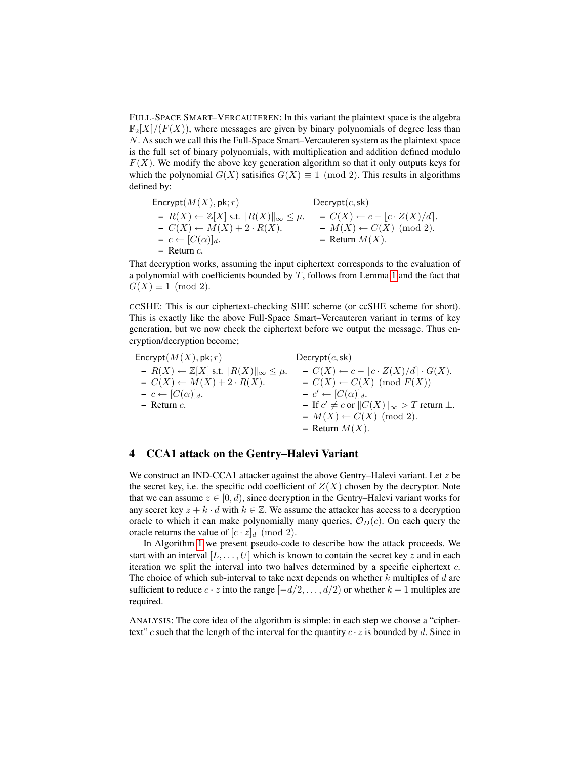FULL-SPACE SMART–VERCAUTEREN: In this variant the plaintext space is the algebra  $\mathbb{F}_2[X]/(F(X))$ , where messages are given by binary polynomials of degree less than N. As such we call this the Full-Space Smart–Vercauteren system as the plaintext space is the full set of binary polynomials, with multiplication and addition defined modulo  $F(X)$ . We modify the above key generation algorithm so that it only outputs keys for which the polynomial  $G(X)$  satisifies  $G(X) \equiv 1 \pmod{2}$ . This results in algorithms defined by:

| $\mathsf{Encrypt}(M(X), \mathsf{pk}; r)$                              | $\mathsf{Decrypt}(c, \mathsf{sk})$        |
|-----------------------------------------------------------------------|-------------------------------------------|
| $- R(X) \leftarrow \mathbb{Z}[X]$ s.t. $  R(X)  _{\infty} \leq \mu$ . | $- C(X) \leftarrow c - [c \cdot Z(X)/d].$ |
| $-C(X) \leftarrow M(X) + 2 \cdot R(X).$                               | $-M(X) \leftarrow C(X) \pmod{2}.$         |
| $-c \leftarrow [C(\alpha)]_d.$                                        | - Return $M(X)$ .                         |
| $-$ Return $c$ .                                                      |                                           |

That decryption works, assuming the input ciphertext corresponds to the evaluation of a polynomial with coefficients bounded by  $T$ , follows from Lemma [1](#page-5-1) and the fact that  $G(X) \equiv 1 \pmod{2}$ .

CCSHE: This is our ciphertext-checking SHE scheme (or ccSHE scheme for short). This is exactly like the above Full-Space Smart–Vercauteren variant in terms of key generation, but we now check the ciphertext before we output the message. Thus encryption/decryption become;

Encrypt $(M(X), \mathsf{pk}; r)$  $- R(X) \leftarrow \mathbb{Z}[X] \text{ s.t. } ||R(X)||_{\infty} \leq \mu. \quad - C(X) \leftarrow c - \lfloor c \cdot Z(X)/d \rfloor \cdot G(X).$  $- C(X) \leftarrow M(X) + 2 \cdot R(X).$  $-c \leftarrow [C(\alpha)]_d.$  $-$  Return  $c$ .  $\mathsf{Decrypt}(c, \mathsf{sk})$  $-C(X) \leftarrow C(X) \pmod{F(X)}$  $- c' \leftarrow [C(\alpha)]_d.$ – If  $c' \neq c$  or  $||C(X)||_{\infty} > T$  return ⊥.  $- M(X) \leftarrow C(X) \pmod{2}.$ – Return  $M(X)$ .

## <span id="page-7-0"></span>4 CCA1 attack on the Gentry–Halevi Variant

We construct an IND-CCA1 attacker against the above Gentry–Halevi variant. Let  $z$  be the secret key, i.e. the specific odd coefficient of  $Z(X)$  chosen by the decryptor. Note that we can assume  $z \in [0, d)$ , since decryption in the Gentry–Halevi variant works for any secret key  $z + k \cdot d$  with  $k \in \mathbb{Z}$ . We assume the attacker has access to a decryption oracle to which it can make polynomially many queries,  $\mathcal{O}_D(c)$ . On each query the oracle returns the value of  $[c \cdot z]_d \pmod{2}$ .

In Algorithm [1](#page-8-1) we present pseudo-code to describe how the attack proceeds. We start with an interval  $[L, \ldots, U]$  which is known to contain the secret key z and in each iteration we split the interval into two halves determined by a specific ciphertext c. The choice of which sub-interval to take next depends on whether  $k$  multiples of  $d$  are sufficient to reduce  $c \cdot z$  into the range  $[-d/2, \ldots, d/2)$  or whether  $k + 1$  multiples are required.

ANALYSIS: The core idea of the algorithm is simple: in each step we choose a "ciphertext" c such that the length of the interval for the quantity  $c \cdot z$  is bounded by d. Since in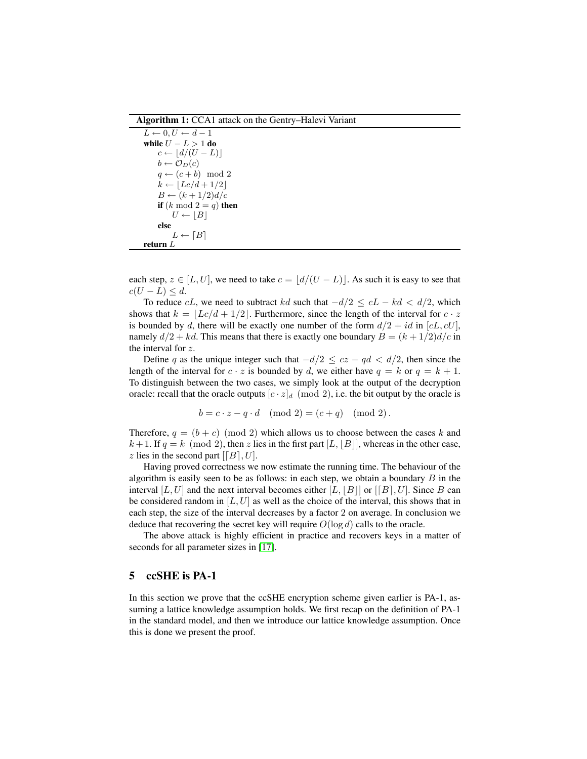Algorithm 1: CCA1 attack on the Gentry–Halevi Variant

<span id="page-8-1"></span> $L \leftarrow 0, U \leftarrow d - 1$ while  $U - L > 1$  do  $c \leftarrow \lfloor d/(U - L) \rfloor$  $b \leftarrow \mathcal{O}_D(c)$  $q \leftarrow (c+b) \mod 2$  $k \leftarrow |Lc/d + 1/2|$  $B \leftarrow (k+1/2)d/c$ if  $(k \mod 2 = q)$  then  $U \leftarrow |B|$ else  $L \leftarrow [B]$ return L

each step,  $z \in [L, U]$ , we need to take  $c = \lfloor d/(U - L) \rfloor$ . As such it is easy to see that  $c(U - L) \leq d$ .

To reduce cL, we need to subtract kd such that  $-d/2 \leq cL - kd \leq d/2$ , which shows that  $k = |Lc/d + 1/2|$ . Furthermore, since the length of the interval for  $c \cdot z$ is bounded by d, there will be exactly one number of the form  $d/2 + id$  in  $[cL, cU]$ , namely  $d/2 + kd$ . This means that there is exactly one boundary  $B = (k + 1/2)d/c$  in the interval for z.

Define q as the unique integer such that  $-d/2 \leq cz - qd < d/2$ , then since the length of the interval for  $c \cdot z$  is bounded by d, we either have  $q = k$  or  $q = k + 1$ . To distinguish between the two cases, we simply look at the output of the decryption oracle: recall that the oracle outputs  $[c \cdot z]_d \pmod{2}$ , i.e. the bit output by the oracle is

$$
b = c \cdot z - q \cdot d \pmod{2} = (c + q) \pmod{2}.
$$

Therefore,  $q = (b + c) \pmod{2}$  which allows us to choose between the cases k and  $k+1$ . If  $q = k \pmod{2}$ , then z lies in the first part  $[L, |B|]$ , whereas in the other case, z lies in the second part  $[[B], U]$ .

Having proved correctness we now estimate the running time. The behaviour of the algorithm is easily seen to be as follows: in each step, we obtain a boundary  $B$  in the interval  $[L, U]$  and the next interval becomes either  $[L, |B|]$  or  $[ [B], U]$ . Since B can be considered random in  $[L, U]$  as well as the choice of the interval, this shows that in each step, the size of the interval decreases by a factor 2 on average. In conclusion we deduce that recovering the secret key will require  $O(\log d)$  calls to the oracle.

The above attack is highly efficient in practice and recovers keys in a matter of seconds for all parameter sizes in [\[17\]](#page-17-10).

# <span id="page-8-0"></span>5 ccSHE is PA-1

In this section we prove that the ccSHE encryption scheme given earlier is PA-1, assuming a lattice knowledge assumption holds. We first recap on the definition of PA-1 in the standard model, and then we introduce our lattice knowledge assumption. Once this is done we present the proof.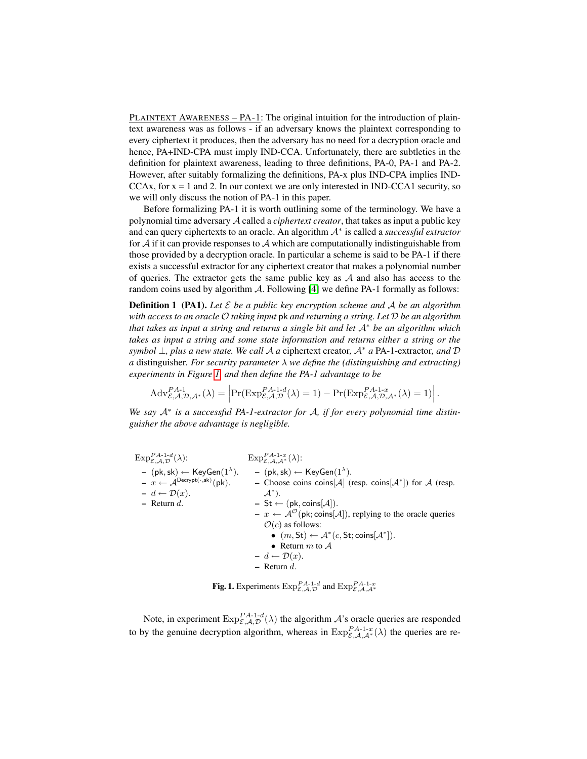PLAINTEXT AWARENESS – PA-1: The original intuition for the introduction of plaintext awareness was as follows - if an adversary knows the plaintext corresponding to every ciphertext it produces, then the adversary has no need for a decryption oracle and hence, PA+IND-CPA must imply IND-CCA. Unfortunately, there are subtleties in the definition for plaintext awareness, leading to three definitions, PA-0, PA-1 and PA-2. However, after suitably formalizing the definitions, PA-x plus IND-CPA implies IND-CCAx, for  $x = 1$  and 2. In our context we are only interested in IND-CCA1 security, so we will only discuss the notion of PA-1 in this paper.

Before formalizing PA-1 it is worth outlining some of the terminology. We have a polynomial time adversary A called a *ciphertext creator*, that takes as input a public key and can query ciphertexts to an oracle. An algorithm A<sup>∗</sup> is called a *successful extractor* for  $\mathcal A$  if it can provide responses to  $\mathcal A$  which are computationally indistinguishable from those provided by a decryption oracle. In particular a scheme is said to be PA-1 if there exists a successful extractor for any ciphertext creator that makes a polynomial number of queries. The extractor gets the same public key as  $A$  and also has access to the random coins used by algorithm  $A$ . Following [\[4\]](#page-16-2) we define PA-1 formally as follows:

Definition 1 (PA1). *Let* E *be a public key encryption scheme and* A *be an algorithm with access to an oracle* O *taking input* pk *and returning a string. Let* D *be an algorithm that takes as input a string and returns a single bit and let* A<sup>∗</sup> *be an algorithm which takes as input a string and some state information and returns either a string or the symbol* ⊥*, plus a new state. We call* A *a* ciphertext creator*,* A<sup>∗</sup> *a* PA-1-extractor*, and* D *a* distinguisher*. For security parameter* λ *we define the (distinguishing and extracting) experiments in Figure [1,](#page-9-0) and then define the PA-1 advantage to be*

$$
Adv_{\mathcal{E},\mathcal{A},\mathcal{D},\mathcal{A}^*}^{PA-1}(\lambda) = \left| \Pr(\text{Exp}_{\mathcal{E},\mathcal{A},\mathcal{D}}^{PA-1-d}(\lambda) = 1) - \Pr(\text{Exp}_{\mathcal{E},\mathcal{A},\mathcal{D},\mathcal{A}^*}^{PA-1-x}(\lambda) = 1) \right|.
$$

*We say* A<sup>∗</sup> *is a successful PA-1-extractor for* A*, if for every polynomial time distinguisher the above advantage is negligible.*

| $\mathrm{Exp}_{\mathcal{E},A,\mathcal{D}}^{PA-1-d}(\lambda)$ :                                                                                       | $\operatorname{Exp}_{\mathcal{E}}^{PA-1-x}(\lambda)$ :                                                                                                                            |
|------------------------------------------------------------------------------------------------------------------------------------------------------|-----------------------------------------------------------------------------------------------------------------------------------------------------------------------------------|
| $-$ (pk, sk) $\leftarrow$ KeyGen(1 <sup><math>\lambda</math></sup> ).<br>$- x \leftarrow \mathcal{A}^{\text{Decrypt}(\cdot, \text{sk})}(\text{pk}).$ | $-$ (pk, sk) $\leftarrow$ KeyGen $(1^{\lambda})$ .<br>- Choose coins coins $ \mathcal{A} $ (resp. coins $ \mathcal{A}^* $ ) for A (resp.                                          |
| $-d \leftarrow \mathcal{D}(x)$ .<br>$-$ Return d.                                                                                                    | $\mathcal{A}^*$ ).<br>$-$ St $\leftarrow$ (pk, coins[A]).<br>$- x \leftarrow \mathcal{A}^{\mathcal{O}}(\mathsf{pk}; \mathsf{coins}[\mathcal{A}]),$ replying to the oracle queries |
|                                                                                                                                                      | $\mathcal{O}(c)$ as follows:<br>• $(m, St) \leftarrow A^*(c, St; \text{coins}[A^*])$ .                                                                                            |
|                                                                                                                                                      | • Return $m$ to $\mathcal A$                                                                                                                                                      |
|                                                                                                                                                      | $-d \leftarrow \mathcal{D}(x)$ .<br>$-$ Return d.                                                                                                                                 |

<span id="page-9-0"></span>**Fig. 1.** Experiments  $\text{Exp}_{\mathcal{E},\mathcal{A},\mathcal{D}}^{PA-1-d}$  and  $\text{Exp}_{\mathcal{E},\mathcal{A},\mathcal{A}^*}^{PA-1-x}$ 

Note, in experiment  $\text{Exp}_{\mathcal{E},\mathcal{A},\mathcal{D}}^{PA-1-d}(\lambda)$  the algorithm  $\mathcal{A}$ 's oracle queries are responded to by the genuine decryption algorithm, whereas in  $\text{Exp}_{\mathcal{E},\mathcal{A},\mathcal{A}^*}^{PA-1-x}(\lambda)$  the queries are re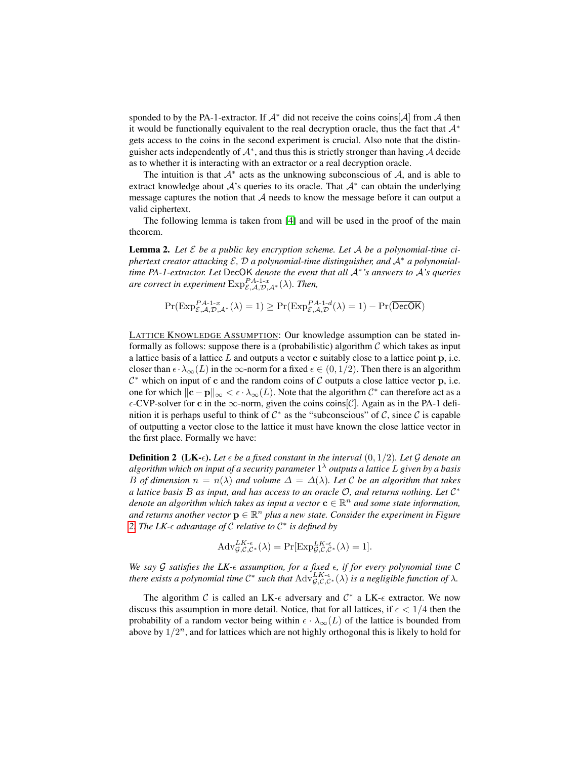sponded to by the PA-1-extractor. If  $A^*$  did not receive the coins coins[A] from A then it would be functionally equivalent to the real decryption oracle, thus the fact that  $A^*$ gets access to the coins in the second experiment is crucial. Also note that the distinguisher acts independently of  $A^*$ , and thus this is strictly stronger than having A decide as to whether it is interacting with an extractor or a real decryption oracle.

The intuition is that  $A^*$  acts as the unknowing subconscious of  $A$ , and is able to extract knowledge about  $A$ 's queries to its oracle. That  $A^*$  can obtain the underlying message captures the notion that  $A$  needs to know the message before it can output a valid ciphertext.

<span id="page-10-0"></span>The following lemma is taken from [\[4\]](#page-16-2) and will be used in the proof of the main theorem.

**Lemma 2.** Let  $\mathcal{E}$  be a public key encryption scheme. Let  $\mathcal{A}$  be a polynomial-time ci*phertext creator attacking* E*,* D *a polynomial-time distinguisher, and* A<sup>∗</sup> *a polynomialtime PA-1-extractor. Let* DecOK *denote the event that all* A<sup>∗</sup> *'s answers to* A*'s queries are correct in experiment*  $\mathrm{Exp}_{\mathcal{E},\mathcal{A},\mathcal{D},\mathcal{A}^*}(\lambda)$ *. Then,* 

$$
\Pr(\text{Exp}_{\mathcal{E},\mathcal{A},\mathcal{D},\mathcal{A}^*}^{PA-1-x}(\lambda) = 1) \ge \Pr(\text{Exp}_{\mathcal{E},\mathcal{A},\mathcal{D}}^{PA-1-d}(\lambda) = 1) - \Pr(\overline{\text{DecOK}})
$$

LATTICE KNOWLEDGE ASSUMPTION: Our knowledge assumption can be stated informally as follows: suppose there is a (probabilistic) algorithm  $C$  which takes as input a lattice basis of a lattice  $L$  and outputs a vector  $c$  suitably close to a lattice point  $p$ , i.e. closer than  $\epsilon \cdot \lambda_{\infty}(L)$  in the  $\infty$ -norm for a fixed  $\epsilon \in (0, 1/2)$ . Then there is an algorithm  $\mathcal{C}^*$  which on input of c and the random coins of  $\mathcal C$  outputs a close lattice vector p, i.e. one for which  $\|c - p\|_{\infty} < \epsilon \cdot \lambda_{\infty}(L)$ . Note that the algorithm  $\mathcal{C}^*$  can therefore act as a  $\epsilon$ -CVP-solver for c in the  $\infty$ -norm, given the coins coins[C]. Again as in the PA-1 defimition it is perhaps useful to think of  $C^*$  as the "subconscious" of C, since C is capable of outputting a vector close to the lattice it must have known the close lattice vector in the first place. Formally we have:

**Definition 2** (LK- $\epsilon$ ). Let  $\epsilon$  be a fixed constant in the interval  $(0, 1/2)$ . Let  $\mathcal G$  denote an *algorithm which on input of a security parameter* 1 <sup>λ</sup> *outputs a lattice* L *given by a basis* B *of dimension*  $n = n(\lambda)$  *and volume*  $\Delta = \Delta(\lambda)$ *. Let* C *be an algorithm that takes a lattice basis* B *as input, and has access to an oracle* O*, and returns nothing. Let* C ∗ denote an algorithm which takes as input a vector  $\mathbf{c} \in \mathbb{R}^n$  and some state information, and returns another vector  $\mathbf{p} \in \mathbb{R}^n$  plus a new state. Consider the experiment in Figure [2.](#page-11-0) The LK- $\epsilon$  advantage of  $\mathcal C$  relative to  $\mathcal C^*$  is defined by

$$
\mathrm{Adv}_{\mathcal{G},\mathcal{C},\mathcal{C}^*}^{LK-\epsilon}(\lambda) = \Pr[\mathrm{Exp}_{\mathcal{G},\mathcal{C},\mathcal{C}^*}^{LK-\epsilon}(\lambda) = 1].
$$

We say  $G$  satisfies the LK- $\epsilon$  assumption, for a fixed  $\epsilon$ , if for every polynomial time  $C$ *there exists a polynomial time*  $C^*$  *such that*  $\text{Adv}_{G,C,C^*}^{LK-\epsilon}(\lambda)$  *is a negligible function of*  $\lambda$ *.* 

The algorithm  $\mathcal C$  is called an LK- $\epsilon$  adversary and  $\mathcal C^*$  a LK- $\epsilon$  extractor. We now discuss this assumption in more detail. Notice, that for all lattices, if  $\epsilon < 1/4$  then the probability of a random vector being within  $\epsilon \cdot \lambda_{\infty}(L)$  of the lattice is bounded from above by  $1/2^n$ , and for lattices which are not highly orthogonal this is likely to hold for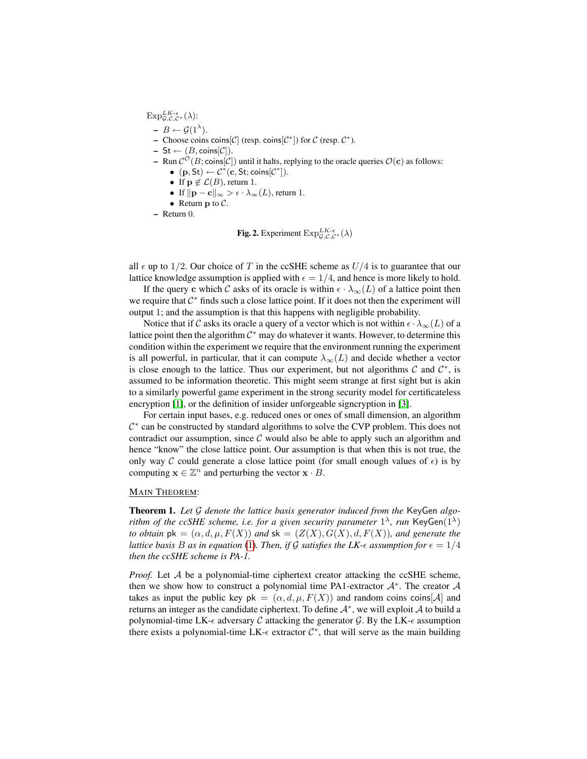$\mathrm{Exp}^{LK-\epsilon}_{\mathcal{G},\mathcal{C},\mathcal{C}^*}(\lambda)$ :

- $-B \leftarrow \mathcal{G}(1^{\lambda}).$
- Choose coins coins  $[\mathcal{C}]$  (resp. coins  $[\mathcal{C}^*]$ ) for  $\mathcal{C}$  (resp.  $\mathcal{C}^*$ ).
- $-$  St  $\leftarrow$   $(B, \text{coins}[\mathcal{C}])$ .
- Run  $\mathcal{C}^{\mathcal{O}}(B; \text{coins}[\mathcal{C}])$  until it halts, replying to the oracle queries  $\mathcal{O}(\mathbf{c})$  as follows:
	- $(p, St) \leftarrow C^*(c, St; \text{coins}[C^*]).$
	- If  $p \notin \mathcal{L}(B)$ , return 1.
	- If  $\|\mathbf{p} \mathbf{c}\|_{\infty} > \epsilon \cdot \lambda_{\infty}(L)$ , return 1.
	- Return  $p$  to  $C$ .

– Return 0.

<span id="page-11-0"></span>**Fig. 2.** Experiment 
$$
\text{Exp}_{\mathcal{G},\mathcal{C},\mathcal{C}^*}^{LK-\epsilon}(\lambda)
$$

all  $\epsilon$  up to 1/2. Our choice of T in the ccSHE scheme as  $U/4$  is to guarantee that our lattice knowledge assumption is applied with  $\epsilon = 1/4$ , and hence is more likely to hold.

If the query c which C asks of its oracle is within  $\epsilon \cdot \lambda_{\infty}(L)$  of a lattice point then we require that  $C^*$  finds such a close lattice point. If it does not then the experiment will output 1; and the assumption is that this happens with negligible probability.

Notice that if C asks its oracle a query of a vector which is not within  $\epsilon \cdot \lambda_{\infty}(L)$  of a lattice point then the algorithm  $C^*$  may do whatever it wants. However, to determine this condition within the experiment we require that the environment running the experiment is all powerful, in particular, that it can compute  $\lambda_{\infty}(L)$  and decide whether a vector is close enough to the lattice. Thus our experiment, but not algorithms  $\mathcal C$  and  $\mathcal C^*$ , is assumed to be information theoretic. This might seem strange at first sight but is akin to a similarly powerful game experiment in the strong security model for certificateless encryption [\[1\]](#page-16-4), or the definition of insider unforgeable signcryption in [\[3\]](#page-16-5).

For certain input bases, e.g. reduced ones or ones of small dimension, an algorithm  $\mathcal{C}^*$  can be constructed by standard algorithms to solve the CVP problem. This does not contradict our assumption, since  $C$  would also be able to apply such an algorithm and hence "know" the close lattice point. Our assumption is that when this is not true, the only way C could generate a close lattice point (for small enough values of  $\epsilon$ ) is by computing  $\mathbf{x} \in \mathbb{Z}^n$  and perturbing the vector  $\mathbf{x} \cdot B$ .

### MAIN THEOREM:

Theorem 1. *Let* G *denote the lattice basis generator induced from the* KeyGen *algorithm of the ccSHE scheme, i.e. for a given security parameter*  $1^{\lambda}$ *, run* KeyGen $(1^{\lambda})$ *to obtain*  $pk = (\alpha, d, \mu, F(X))$  *and*  $sk = (Z(X), G(X), d, F(X))$ *, and generate the lattice basis B as in equation* [\(1\)](#page-5-0). Then, if *G satisfies the LK-* $\epsilon$  *assumption for*  $\epsilon = 1/4$ *then the ccSHE scheme is PA-1.*

*Proof.* Let A be a polynomial-time ciphertext creator attacking the ccSHE scheme, then we show how to construct a polynomial time PA1-extractor A<sup>∗</sup> . The creator A takes as input the public key pk =  $(\alpha, d, \mu, F(X))$  and random coins coins[A] and returns an integer as the candidate ciphertext. To define  $A^*$ , we will exploit A to build a polynomial-time LK- $\epsilon$  adversary C attacking the generator G. By the LK- $\epsilon$  assumption there exists a polynomial-time LK- $\epsilon$  extractor  $C^*$ , that will serve as the main building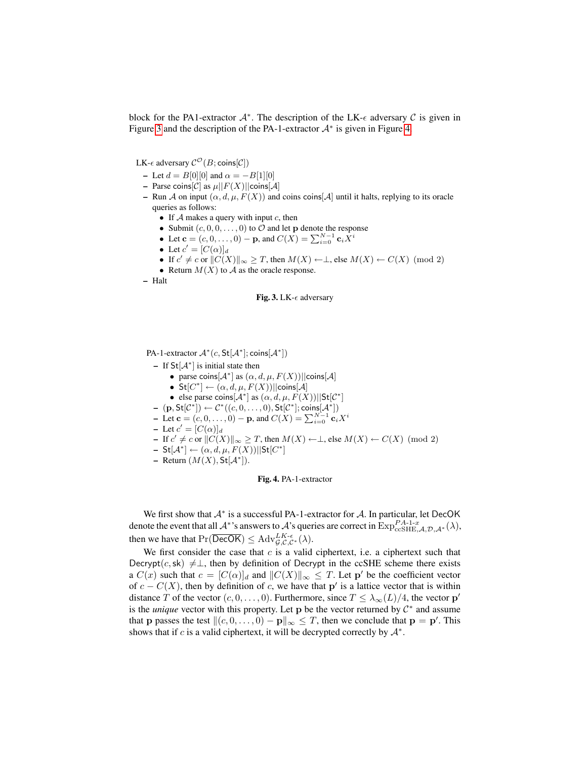block for the PA1-extractor  $A^*$ . The description of the LK- $\epsilon$  adversary  $C$  is given in Figure [3](#page-12-0) and the description of the PA-1-extractor  $A^*$  is given in Figure [4.](#page-12-1)

LK- $\epsilon$  adversary  $\mathcal{C}^{\mathcal{O}}(B; \text{coins}[\mathcal{C}])$ 

- Let  $d = B[0][0]$  and  $\alpha = -B[1][0]$
- Parse coins $[\mathcal{C}]$  as  $\mu||F(X)||$ coins $[\mathcal{A}]$
- Run A on input  $(\alpha, d, \mu, F(X))$  and coins coins[A] until it halts, replying to its oracle queries as follows:
	- If  $\mathcal A$  makes a query with input  $c$ , then
	- Submit  $(c, 0, 0, \ldots, 0)$  to  $\overline{\mathcal{O}}$  and let p denote the response
	- Let  ${\bf c} = (c, 0, \dots, 0) {\bf p}$ , and  $C(X) = \sum_{i=0}^{N-1} {\bf c}_i X^i$
	- Let  $c' = [C(\alpha)]_d$
	- If  $c' \neq c$  or  $||C(X)||_{\infty} \geq T$ , then  $M(X) \leftarrow \perp$ , else  $M(X) \leftarrow C(X) \pmod{2}$
	- Return  $M(X)$  to  $A$  as the oracle response.

– Halt

#### <span id="page-12-0"></span>Fig. 3. LK- $\epsilon$  adversary

PA-1-extractor  $\mathcal{A}^*(c, \mathsf{St}[\mathcal{A}^*]; \mathsf{coins}[\mathcal{A}^*])$ 

- $-$  If  $St[A^*]$  is initial state then
	- parse coins $[\mathcal{A}^*]$  as  $(\alpha, d, \mu, F(X))$ ||coins $[\mathcal{A}]$
	- St $[C^*] \leftarrow (\alpha, d, \mu, F(X))$ ||coins $[\mathcal{A}]$
	- else parse coins $[\mathcal{A}^*]$  as  $(\alpha, d, \mu, F(X))$ ||St $[\mathcal{C}^*]$
- $-$  (p, St[ $\mathcal{C}^*$ ])  $\leftarrow \mathcal{C}^*((c, 0, \ldots, 0), \mathsf{St}[\mathcal{C}^*]; \mathsf{coins}[\mathcal{A}^*])$
- Let  $\mathbf{c} = (c, 0, \dots, 0) \mathbf{p}$ , and  $C(X) = \sum_{i=0}^{N-1} \mathbf{c}_i X^i$
- Let  $c' = [C(\alpha)]_d$
- If  $c' \neq c$  or  $||C(X)||_{\infty} \geq T$ , then  $M(X) \leftarrow \perp$ , else  $M(X) \leftarrow C(X) \pmod{2}$
- $-$  St[ $A^*$ ]  $\leftarrow (\alpha, d, \mu, F(X))$ ||St[ $C^*$ ]
- Return  $(M(X), St[{\cal A}^*])$ .

#### <span id="page-12-1"></span>Fig. 4. PA-1-extractor

We first show that  $A^*$  is a successful PA-1-extractor for A. In particular, let DecOK denote the event that all  $\mathcal{A}^*$ 's answers to  $\mathcal{A}$ 's queries are correct in  $\text{Exp}_{\text{ccSHE},\mathcal{A},\mathcal{D},\mathcal{A}^*}^{PA-1-x}(\lambda)$ , then we have that  $Pr(\overline{DecOK}) \leq \text{Adv}_{\mathcal{G},\mathcal{C},\mathcal{C}^*}^{LK-\epsilon}(\lambda)$ .

We first consider the case that  $c$  is a valid ciphertext, i.e. a ciphertext such that Decrypt(c, sk)  $\neq \perp$ , then by definition of Decrypt in the ccSHE scheme there exists a  $C(x)$  such that  $c = [C(\alpha)]_d$  and  $||C(X)||_{\infty} \leq T$ . Let p' be the coefficient vector of  $c - C(X)$ , then by definition of c, we have that p' is a lattice vector that is within distance T of the vector  $(c, 0, \ldots, 0)$ . Furthermore, since  $T \leq \lambda_{\infty}(L)/4$ , the vector  $p'$ is the *unique* vector with this property. Let  $p$  be the vector returned by  $C^*$  and assume that **p** passes the test  $||(c, 0, \dots, 0) - \mathbf{p}||_{\infty} \leq T$ , then we conclude that  $\mathbf{p} = \mathbf{p}'$ . This shows that if  $c$  is a valid ciphertext, it will be decrypted correctly by  $\mathcal{A}^*$ .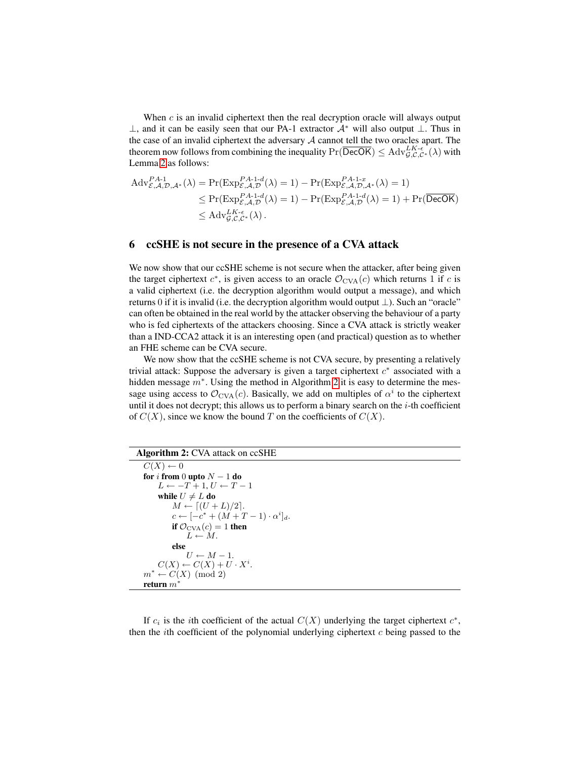When  $c$  is an invalid ciphertext then the real decryption oracle will always output ⊥, and it can be easily seen that our PA-1 extractor  $A^*$  will also output ⊥. Thus in the case of an invalid ciphertext the adversary  $A$  cannot tell the two oracles apart. The theorem now follows from combining the inequality  $Pr(\overline{DecOK}) \leq \text{Adv}_{\mathcal{G},\mathcal{C},\mathcal{C}^*}^{LK-\epsilon}(\lambda)$  with Lemma [2](#page-10-0) as follows:

$$
Adv_{\mathcal{E},\mathcal{A},\mathcal{D},\mathcal{A}^*}^{PA-1}(\lambda) = Pr(\text{Exp}_{\mathcal{E},\mathcal{A},\mathcal{D}}^{PA-1-d}(\lambda) = 1) - Pr(\text{Exp}_{\mathcal{E},\mathcal{A},\mathcal{D},\mathcal{A}^*}^{PA-1-x}(\lambda) = 1)
$$
  
\n
$$
\leq Pr(\text{Exp}_{\mathcal{E},\mathcal{A},\mathcal{D}}^{PA-1-d}(\lambda) = 1) - Pr(\text{Exp}_{\mathcal{E},\mathcal{A},\mathcal{D}}^{PA-1-d}(\lambda) = 1) + Pr(\overline{\text{DecOK}})
$$
  
\n
$$
\leq \text{Adv}_{\mathcal{G},\mathcal{C},\mathcal{C}^*}^{LK-1}( \lambda ).
$$

### <span id="page-13-0"></span>6 ccSHE is not secure in the presence of a CVA attack

We now show that our ccSHE scheme is not secure when the attacker, after being given the target ciphertext  $c^*$ , is given access to an oracle  $\mathcal{O}_{\text{CVA}}(c)$  which returns 1 if c is a valid ciphertext (i.e. the decryption algorithm would output a message), and which returns 0 if it is invalid (i.e. the decryption algorithm would output  $\perp$ ). Such an "oracle" can often be obtained in the real world by the attacker observing the behaviour of a party who is fed ciphertexts of the attackers choosing. Since a CVA attack is strictly weaker than a IND-CCA2 attack it is an interesting open (and practical) question as to whether an FHE scheme can be CVA secure.

We now show that the ccSHE scheme is not CVA secure, by presenting a relatively trivial attack: Suppose the adversary is given a target ciphertext  $c^*$  associated with a hidden message  $m^*$ . Using the method in Algorithm [2](#page-13-1) it is easy to determine the message using access to  $\mathcal{O}_{\text{CVA}}(c)$ . Basically, we add on multiples of  $\alpha^i$  to the ciphertext until it does not decrypt; this allows us to perform a binary search on the  $i$ -th coefficient of  $C(X)$ , since we know the bound T on the coefficients of  $C(X)$ .

<span id="page-13-1"></span>

| Algorithm 2: CVA attack on ccSHE                      |
|-------------------------------------------------------|
| $C(X) \leftarrow 0$                                   |
| for i from 0 upto $N-1$ do                            |
| $L \leftarrow -T+1, U \leftarrow T-1$                 |
| while $U \neq L$ do                                   |
| $M \leftarrow [(U+L)/2].$                             |
| $c \leftarrow [-c^* + (M + T - 1) \cdot \alpha^i]_d.$ |
| if $\mathcal{O}_{\text{CVA}}(c) = 1$ then             |
| $L \leftarrow M$ .                                    |
| else                                                  |
| $U \leftarrow M - 1$ .                                |
| $C(X) \leftarrow C(X) + U \cdot X^i$ .                |
| $m^* \leftarrow C(X) \pmod{2}$                        |
| return $m^*$                                          |

If  $c_i$  is the *i*th coefficient of the actual  $C(X)$  underlying the target ciphertext  $c^*$ , then the *i*th coefficient of the polynomial underlying ciphertext  $c$  being passed to the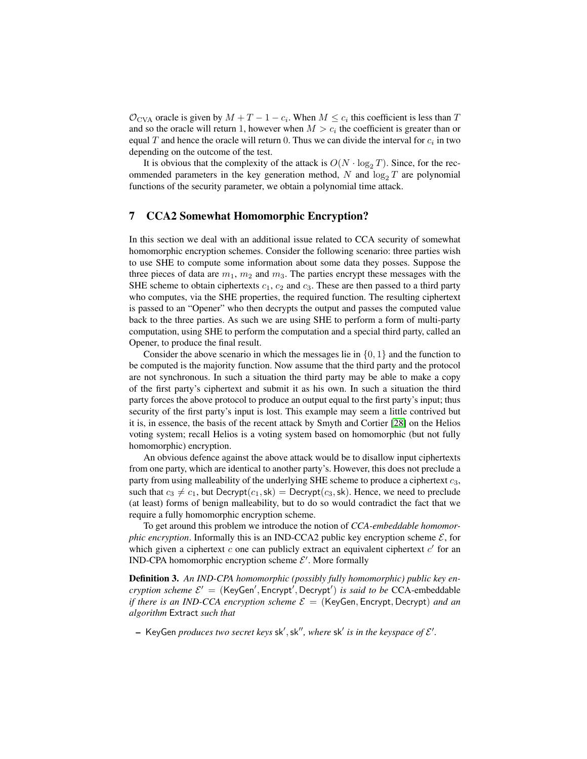$\mathcal{O}_{\text{CVA}}$  oracle is given by  $M + T - 1 - c_i$ . When  $M \leq c_i$  this coefficient is less than T and so the oracle will return 1, however when  $M > c_i$  the coefficient is greater than or equal T and hence the oracle will return 0. Thus we can divide the interval for  $c_i$  in two depending on the outcome of the test.

It is obvious that the complexity of the attack is  $O(N \cdot \log_2 T)$ . Since, for the recommended parameters in the key generation method, N and  $\log_2 T$  are polynomial functions of the security parameter, we obtain a polynomial time attack.

# <span id="page-14-0"></span>7 CCA2 Somewhat Homomorphic Encryption?

In this section we deal with an additional issue related to CCA security of somewhat homomorphic encryption schemes. Consider the following scenario: three parties wish to use SHE to compute some information about some data they posses. Suppose the three pieces of data are  $m_1$ ,  $m_2$  and  $m_3$ . The parties encrypt these messages with the SHE scheme to obtain ciphertexts  $c_1$ ,  $c_2$  and  $c_3$ . These are then passed to a third party who computes, via the SHE properties, the required function. The resulting ciphertext is passed to an "Opener" who then decrypts the output and passes the computed value back to the three parties. As such we are using SHE to perform a form of multi-party computation, using SHE to perform the computation and a special third party, called an Opener, to produce the final result.

Consider the above scenario in which the messages lie in  $\{0, 1\}$  and the function to be computed is the majority function. Now assume that the third party and the protocol are not synchronous. In such a situation the third party may be able to make a copy of the first party's ciphertext and submit it as his own. In such a situation the third party forces the above protocol to produce an output equal to the first party's input; thus security of the first party's input is lost. This example may seem a little contrived but it is, in essence, the basis of the recent attack by Smyth and Cortier [\[28\]](#page-17-18) on the Helios voting system; recall Helios is a voting system based on homomorphic (but not fully homomorphic) encryption.

An obvious defence against the above attack would be to disallow input ciphertexts from one party, which are identical to another party's. However, this does not preclude a party from using malleability of the underlying SHE scheme to produce a ciphertext  $c_3$ , such that  $c_3 \neq c_1$ , but Decrypt $(c_1, sk)$  = Decrypt $(c_3, sk)$ . Hence, we need to preclude (at least) forms of benign malleability, but to do so would contradict the fact that we require a fully homomorphic encryption scheme.

To get around this problem we introduce the notion of *CCA-embeddable homomorphic encryption*. Informally this is an IND-CCA2 public key encryption scheme  $\mathcal{E}$ , for which given a ciphertext  $c$  one can publicly extract an equivalent ciphertext  $c'$  for an IND-CPA homomorphic encryption scheme  $\mathcal{E}'$ . More formally

Definition 3. *An IND-CPA homomorphic (possibly fully homomorphic) public key en* $c$ ryption scheme  $\mathcal{E}' =$  (KeyGen', Encrypt', Decrypt') *is said to be* CCA-embeddable *if there is an IND-CCA encryption scheme*  $\mathcal{E} =$  (KeyGen, Encrypt, Decrypt) *and an algorithm* Extract *such that*

 $-$  KeyGen *produces two secret keys* sk', sk'', where sk' is in the keyspace of  $\mathcal{E}'$ .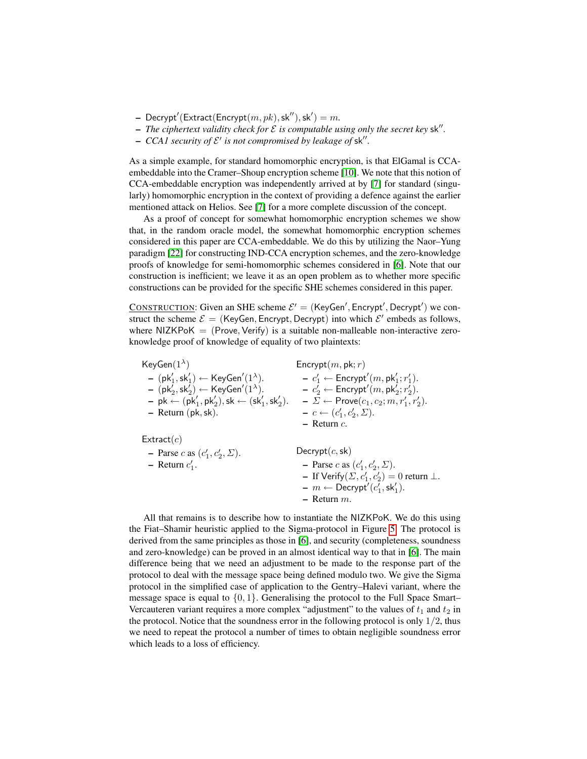- $-$  Decrypt<sup>'</sup>(Extract(Encrypt $(m, pk)$ , sk''), sk') = m.
- $-$  The ciphertext validity check for  $\mathcal E$  is computable using only the secret key  $\mathsf{sk}''$ .
- $-$  CCA1 security of  $\mathcal{E}'$  is not compromised by leakage of sk<sup>"</sup>.

As a simple example, for standard homomorphic encryption, is that ElGamal is CCAembeddable into the Cramer–Shoup encryption scheme [\[10\]](#page-17-4). We note that this notion of CCA-embeddable encryption was independently arrived at by [\[7\]](#page-16-6) for standard (singularly) homomorphic encryption in the context of providing a defence against the earlier mentioned attack on Helios. See [\[7\]](#page-16-6) for a more complete discussion of the concept.

As a proof of concept for somewhat homomorphic encryption schemes we show that, in the random oracle model, the somewhat homomorphic encryption schemes considered in this paper are CCA-embeddable. We do this by utilizing the Naor–Yung paradigm [\[22\]](#page-17-19) for constructing IND-CCA encryption schemes, and the zero-knowledge proofs of knowledge for semi-homomorphic schemes considered in [\[6\]](#page-16-7). Note that our construction is inefficient; we leave it as an open problem as to whether more specific constructions can be provided for the specific SHE schemes considered in this paper.

CONSTRUCTION: Given an SHE scheme  $\mathcal{E}' =$  (KeyGen', Encrypt', Decrypt') we construct the scheme  $\mathcal{E} =$  (KeyGen, Encrypt, Decrypt) into which  $\mathcal{E}'$  embeds as follows, where  $NIZKPoK = (Prove, Verify)$  is a suitable non-malleable non-interactive zeroknowledge proof of knowledge of equality of two plaintexts:

| KeyGen $(1^{\lambda})$                                                                                                                                                                                                                                                                                    | $\mathsf{Encrypt}(m, \mathsf{pk}; r)$                                                                                                                                                                                                                                           |
|-----------------------------------------------------------------------------------------------------------------------------------------------------------------------------------------------------------------------------------------------------------------------------------------------------------|---------------------------------------------------------------------------------------------------------------------------------------------------------------------------------------------------------------------------------------------------------------------------------|
| $-$ (pk' <sub>1</sub> , sk' <sub>1</sub> ) $\leftarrow$ KeyGen'(1 <sup><math>\lambda</math></sup> ).<br>$-$ (pk' <sub>2</sub> , sk' <sub>2</sub> ) $\leftarrow$ KeyGen'(1 <sup><math>\lambda</math></sup> ).<br>$-$ pk $\leftarrow (pk'_1, pk'_2), sk \leftarrow (sk'_1, sk'_2).$<br>$-$ Return (pk, sk). | $-c'_1 \leftarrow$ Encrypt'( <i>m</i> , pk' <sub>1</sub> ; r' <sub>1</sub> ).<br>$-c'_2 \leftarrow$ Encrypt'(m, pk' <sub>2</sub> ; r' <sub>2</sub> ).<br>$- \Sigma \leftarrow$ Prove $(c_1, c_2; m, r'_1, r'_2)$ .<br>$-c \leftarrow (c'_1, c'_2, \Sigma).$<br>$-$ Return $c$ . |
| Extract(c)                                                                                                                                                                                                                                                                                                |                                                                                                                                                                                                                                                                                 |
| - Parse c as $(c'_1, c'_2, \Sigma)$ .                                                                                                                                                                                                                                                                     | Decrypt(c, sk)                                                                                                                                                                                                                                                                  |
| - Return $c'_1$ .                                                                                                                                                                                                                                                                                         | - Parse c as $(c'_1, c'_2, \Sigma)$ .                                                                                                                                                                                                                                           |
|                                                                                                                                                                                                                                                                                                           | - If Verify $(\Sigma, c'_1, c'_2) = 0$ return $\perp$ .<br>$-m \leftarrow$ Decrypt'( $c'_1$ , sk' <sub>1</sub> ).                                                                                                                                                               |
|                                                                                                                                                                                                                                                                                                           | $-$ Return m.                                                                                                                                                                                                                                                                   |
|                                                                                                                                                                                                                                                                                                           |                                                                                                                                                                                                                                                                                 |

All that remains is to describe how to instantiate the NIZKPoK. We do this using the Fiat–Shamir heuristic applied to the Sigma-protocol in Figure [5.](#page-16-8) The protocol is derived from the same principles as those in [\[6\]](#page-16-7), and security (completeness, soundness and zero-knowledge) can be proved in an almost identical way to that in [\[6\]](#page-16-7). The main difference being that we need an adjustment to be made to the response part of the protocol to deal with the message space being defined modulo two. We give the Sigma protocol in the simplified case of application to the Gentry–Halevi variant, where the message space is equal to  $\{0, 1\}$ . Generalising the protocol to the Full Space Smart– Vercauteren variant requires a more complex "adjustment" to the values of  $t_1$  and  $t_2$  in the protocol. Notice that the soundness error in the following protocol is only  $1/2$ , thus we need to repeat the protocol a number of times to obtain negligible soundness error which leads to a loss of efficiency.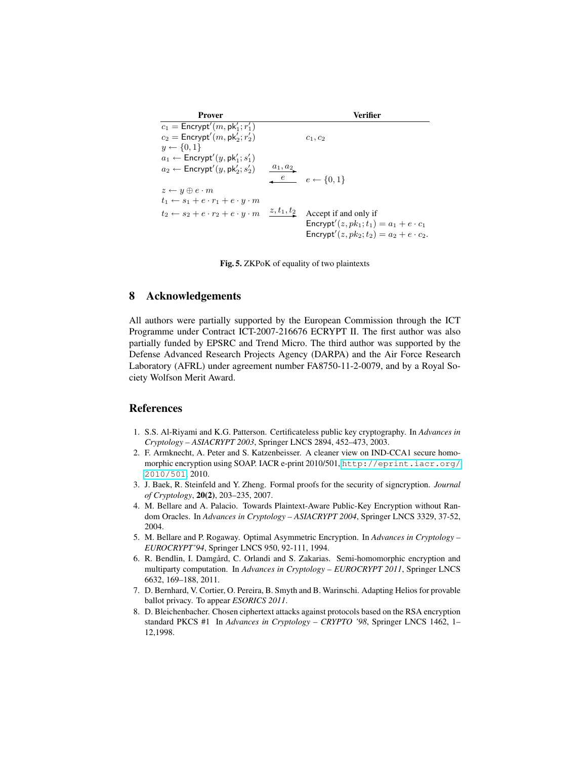```
Prover Verifier
c_1 = \mathsf{Encrypt}'(m, \mathsf{pk}'_1; r'_1)c_2 = \mathsf{Energy}'(m, \mathsf{pk}'_2; r'_2c_1, c_2y \leftarrow \{0, 1\}a_1 \leftarrow \mathsf{Encrypt}'(y, \mathsf{pk}'_1; s'_1)a_2 \leftarrow \mathsf{Encrypt}'(y, \mathsf{pk}'_2; s'_2)a_1, a_2\frac{e}{e} e \leftarrow \{0,1\}z \leftarrow y \oplus e \cdot mt_1 \leftarrow s_1 + e \cdot r_1 + e \cdot y \cdot mt_2 \leftarrow s_2 + e \cdot r_2 + e \cdot y \cdot m \quad \frac{z, t_1, t_2}{2} Accept if and only if
                                                              Encrypt'(z, pk_1; t_1) = a_1 + e \cdot c_1Encrypt'(z, pk_2; t_2) = a_2 + e \cdot c_2.
```
<span id="page-16-8"></span>Fig. 5. ZKPoK of equality of two plaintexts

### 8 Acknowledgements

All authors were partially supported by the European Commission through the ICT Programme under Contract ICT-2007-216676 ECRYPT II. The first author was also partially funded by EPSRC and Trend Micro. The third author was supported by the Defense Advanced Research Projects Agency (DARPA) and the Air Force Research Laboratory (AFRL) under agreement number FA8750-11-2-0079, and by a Royal Society Wolfson Merit Award.

# References

- <span id="page-16-4"></span>1. S.S. Al-Riyami and K.G. Patterson. Certificateless public key cryptography. In *Advances in Cryptology – ASIACRYPT 2003*, Springer LNCS 2894, 452–473, 2003.
- <span id="page-16-0"></span>2. F. Armknecht, A. Peter and S. Katzenbeisser. A cleaner view on IND-CCA1 secure homomorphic encryption using SOAP. IACR e-print 2010/501, [http://eprint.iacr.org/](http://eprint.iacr.org/2010/501) [2010/501](http://eprint.iacr.org/2010/501), 2010.
- <span id="page-16-5"></span>3. J. Baek, R. Steinfeld and Y. Zheng. Formal proofs for the security of signcryption. *Journal of Cryptology*, 20(2), 203–235, 2007.
- <span id="page-16-2"></span>4. M. Bellare and A. Palacio. Towards Plaintext-Aware Public-Key Encryption without Random Oracles. In *Advances in Cryptology – ASIACRYPT 2004*, Springer LNCS 3329, 37-52, 2004.
- <span id="page-16-1"></span>5. M. Bellare and P. Rogaway. Optimal Asymmetric Encryption. In *Advances in Cryptology – EUROCRYPT'94*, Springer LNCS 950, 92-111, 1994.
- <span id="page-16-7"></span>6. R. Bendlin, I. Damgård, C. Orlandi and S. Zakarias. Semi-homomorphic encryption and multiparty computation. In *Advances in Cryptology – EUROCRYPT 2011*, Springer LNCS 6632, 169–188, 2011.
- <span id="page-16-6"></span>7. D. Bernhard, V. Cortier, O. Pereira, B. Smyth and B. Warinschi. Adapting Helios for provable ballot privacy. To appear *ESORICS 2011*.
- <span id="page-16-3"></span>8. D. Bleichenbacher. Chosen ciphertext attacks against protocols based on the RSA encryption standard PKCS #1 In *Advances in Cryptology – CRYPTO '98*, Springer LNCS 1462, 1– 12,1998.